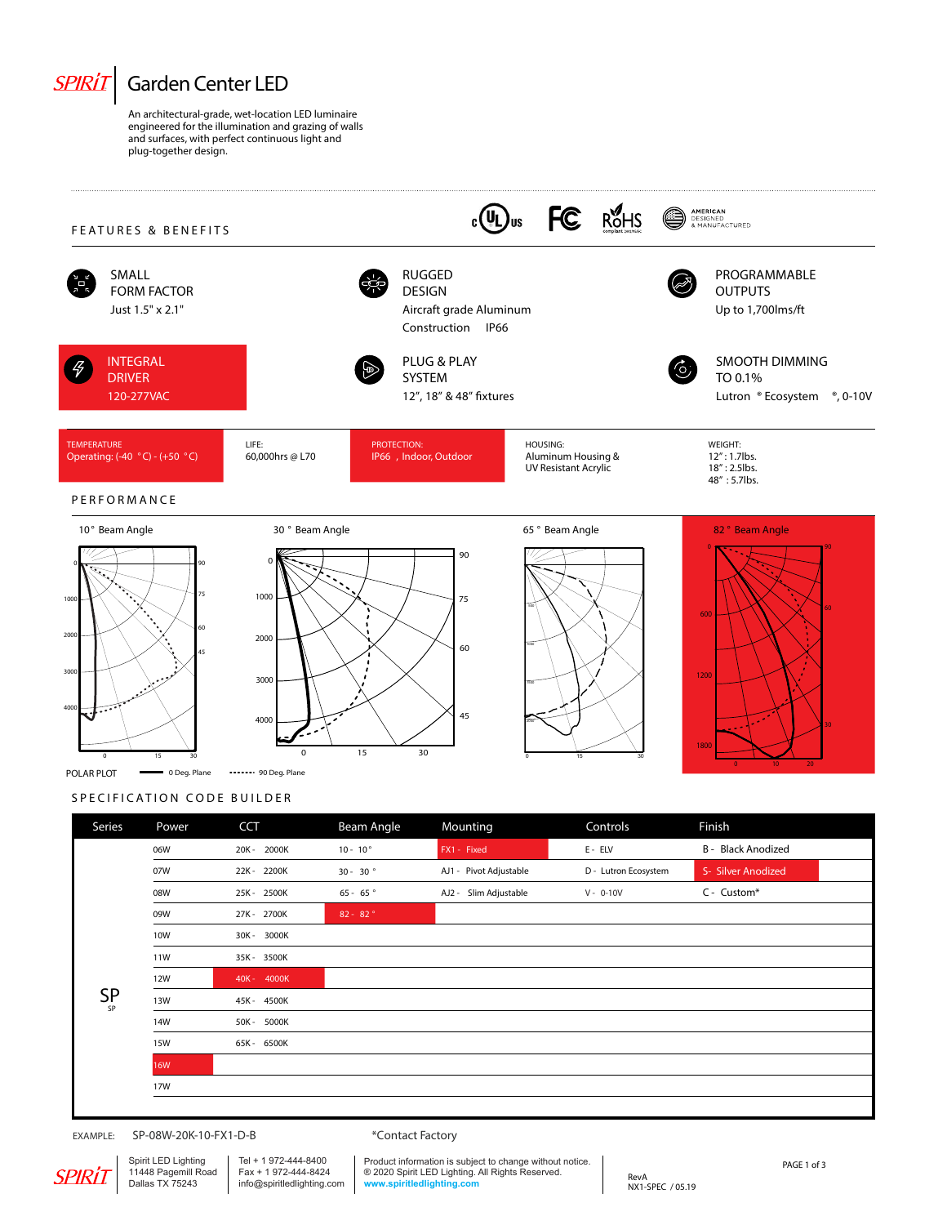

## **S P E C I F I C AT I O N C O D E B UILDE R** POLAR PLOT **- O** Deg. Plane - ------ 90 Deg. Plane

0 15 30

3000

4000

0 15 30

| Series    | Power      | <b>CCT</b>  | Beam Angle        | Mounting               | Controls             | Finish             |
|-----------|------------|-------------|-------------------|------------------------|----------------------|--------------------|
|           | 06W        | 20K - 2000K | $10 - 10^{\circ}$ | FX1 - Fixed            | $E - ELV$            | B - Black Anodized |
|           | 07W        | 22K-2200K   | $30 - 30$ °       | AJ1 - Pivot Adjustable | D - Lutron Ecosystem | S- Silver Anodized |
|           | 08W        | 25K - 2500K | $65 - 65$         | AJ2 - Slim Adjustable  | $V - 0-10V$          | C - Custom*        |
|           | 09W        | 27K - 2700K | $82 - 82°$        |                        |                      |                    |
|           | 10W        | 30K - 3000K |                   |                        |                      |                    |
|           | 11W        | 35K-3500K   |                   |                        |                      |                    |
|           | 12W        | 40K - 4000K |                   |                        |                      |                    |
| $SP_{SP}$ | 13W        | 45K - 4500K |                   |                        |                      |                    |
|           | 14W        | 50K - 5000K |                   |                        |                      |                    |
|           | 15W        | 65K - 6500K |                   |                        |                      |                    |
|           | <b>16W</b> |             |                   |                        |                      |                    |
|           | 17W        |             |                   |                        |                      |                    |
|           |            |             |                   |                        |                      |                    |

45

0 15 30

1800

0 10 20

1500

2000

 $\sim$ 

 $\sim$ 

4000

5000

EXAMPLE: SP-08W-20K-10-FX1-D-B \* \* Contact Factory

SPIRLI

Spirit LED Lighting 11448 Pagemill Road Dallas TX 75243 Tel + 1 972-444-8400 Fax + 1 972-444-8424 info@spiritledlighting.com

Product information is subject to change without notice. ® 2020 Spirit LED Lighting. All Rights Reserved. **www.spiritledlighting.com**

RevA NX1-SPEC / 05.19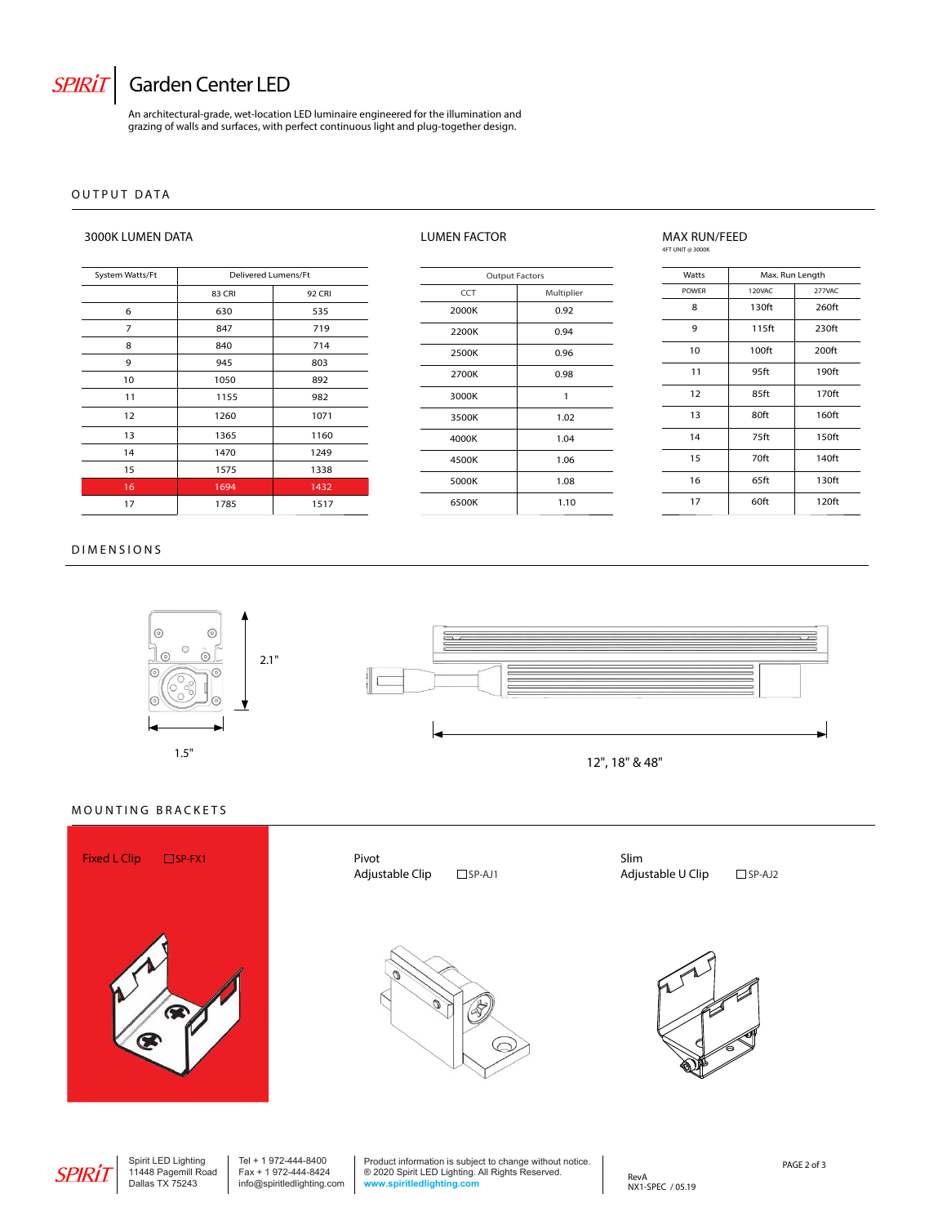

# $SPIRIT$  Garden Center LED

An architectural-grade, wet-location LED luminaire engineered for the illumination and grazing of walls and surfaces, with perfect continuous light and plug-together design.

### **OUTP U T D AT A**

### **3000K LUMEN DATA LUMEN FACTOR MAX RUN/FEED**

# **4FT UNIT @ 3000K**

| System Watts/Ft | Delivered Lumens/Ft |               |  |
|-----------------|---------------------|---------------|--|
|                 | 83 CRI              | <b>92 CRI</b> |  |
| 6               | 630                 | 535           |  |
| 7               | 847                 | 719           |  |
| 8               | 840                 | 714           |  |
| 9               | 945                 | 803           |  |
| 10              | 1050                | 892           |  |
| 11              | 1155                | 982           |  |
| 12              | 1260                | 1071          |  |
| 13              | 1365                | 1160          |  |
| 14              | 1470                | 1249          |  |
| 15              | 1575                | 1338          |  |
| 16              | 1694                | 1432          |  |
| 17              | 1785                | 1517          |  |

| <b>DIMENSIONS</b> |  |
|-------------------|--|





**Output Factors** CCT | Multiplier 2000K 0.92

| Watts        | Max. Run Length   |                   |  |
|--------------|-------------------|-------------------|--|
| <b>POWFR</b> | 120VAC            | 277VAC            |  |
| 8            | 130ft             | 260ft             |  |
| 9            | 115ft             | 230ft             |  |
| 10           | 100 <sub>ft</sub> | 200 <sup>ft</sup> |  |
| 11           | 95ft              | 190ft             |  |
| 12           | 85ft              | 170ft             |  |
| 13           | 80ft              | 160ft             |  |
| 14           | 75ft              | 150ft             |  |
| 15           | 70ft              | 140ft             |  |
| 16           | 65ft              | 130ft             |  |
| 17           | 60ft              | 120ft             |  |



## **MOUNTING BRACKETS**



**Adjustable Clip** □ SP-AJ1



**Slim Adjustable U Clip** □ SP-AJ2





Spirit LED Lighting 11448 Pagemill Road Dallas TX 75243 Tel + 1 972-444-8400 Fax + 1 972-444-8424 info@spiritledlighting.com Product information is subject to change without notice. ® 2020 Spirit LED Lighting. All Rights Reserved. **www.spiritledlighting.com**

RevA NX1-SPEC / 05.19